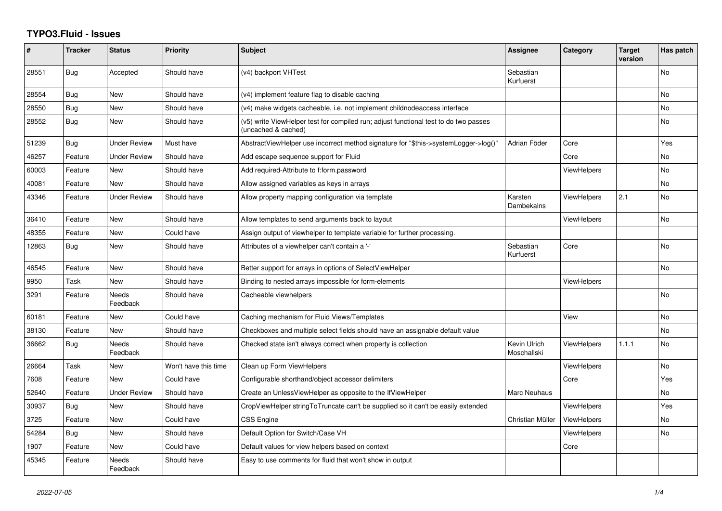## **TYPO3.Fluid - Issues**

| #     | <b>Tracker</b> | <b>Status</b>       | <b>Priority</b>      | <b>Subject</b>                                                                                              | <b>Assignee</b>             | Category           | <b>Target</b><br>version | Has patch |
|-------|----------------|---------------------|----------------------|-------------------------------------------------------------------------------------------------------------|-----------------------------|--------------------|--------------------------|-----------|
| 28551 | Bug            | Accepted            | Should have          | (v4) backport VHTest                                                                                        | Sebastian<br>Kurfuerst      |                    |                          | No        |
| 28554 | Bug            | New                 | Should have          | (v4) implement feature flag to disable caching                                                              |                             |                    |                          | <b>No</b> |
| 28550 | <b>Bug</b>     | New                 | Should have          | (v4) make widgets cacheable, i.e. not implement childnodeaccess interface                                   |                             |                    |                          | <b>No</b> |
| 28552 | Bug            | New                 | Should have          | (v5) write ViewHelper test for compiled run; adjust functional test to do two passes<br>(uncached & cached) |                             |                    |                          | <b>No</b> |
| 51239 | <b>Bug</b>     | <b>Under Review</b> | Must have            | AbstractViewHelper use incorrect method signature for "\$this->systemLogger->log()"                         | Adrian Föder                | Core               |                          | Yes       |
| 46257 | Feature        | <b>Under Review</b> | Should have          | Add escape sequence support for Fluid                                                                       |                             | Core               |                          | No        |
| 60003 | Feature        | <b>New</b>          | Should have          | Add required-Attribute to f:form.password                                                                   |                             | <b>ViewHelpers</b> |                          | <b>No</b> |
| 40081 | Feature        | New                 | Should have          | Allow assigned variables as keys in arrays                                                                  |                             |                    |                          | No        |
| 43346 | Feature        | <b>Under Review</b> | Should have          | Allow property mapping configuration via template                                                           | Karsten<br>Dambekalns       | <b>ViewHelpers</b> | 2.1                      | No        |
| 36410 | Feature        | <b>New</b>          | Should have          | Allow templates to send arguments back to layout                                                            |                             | <b>ViewHelpers</b> |                          | <b>No</b> |
| 48355 | Feature        | New                 | Could have           | Assign output of viewhelper to template variable for further processing.                                    |                             |                    |                          |           |
| 12863 | <b>Bug</b>     | <b>New</b>          | Should have          | Attributes of a viewhelper can't contain a '-'                                                              | Sebastian<br>Kurfuerst      | Core               |                          | <b>No</b> |
| 46545 | Feature        | <b>New</b>          | Should have          | Better support for arrays in options of SelectViewHelper                                                    |                             |                    |                          | <b>No</b> |
| 9950  | Task           | New                 | Should have          | Binding to nested arrays impossible for form-elements                                                       |                             | <b>ViewHelpers</b> |                          |           |
| 3291  | Feature        | Needs<br>Feedback   | Should have          | Cacheable viewhelpers                                                                                       |                             |                    |                          | <b>No</b> |
| 60181 | Feature        | New                 | Could have           | Caching mechanism for Fluid Views/Templates                                                                 |                             | View               |                          | <b>No</b> |
| 38130 | Feature        | <b>New</b>          | Should have          | Checkboxes and multiple select fields should have an assignable default value                               |                             |                    |                          | <b>No</b> |
| 36662 | Bug            | Needs<br>Feedback   | Should have          | Checked state isn't always correct when property is collection                                              | Kevin Ulrich<br>Moschallski | <b>ViewHelpers</b> | 1.1.1                    | <b>No</b> |
| 26664 | Task           | New                 | Won't have this time | Clean up Form ViewHelpers                                                                                   |                             | ViewHelpers        |                          | <b>No</b> |
| 7608  | Feature        | New                 | Could have           | Configurable shorthand/object accessor delimiters                                                           |                             | Core               |                          | Yes       |
| 52640 | Feature        | <b>Under Review</b> | Should have          | Create an UnlessViewHelper as opposite to the IfViewHelper                                                  | Marc Neuhaus                |                    |                          | <b>No</b> |
| 30937 | <b>Bug</b>     | <b>New</b>          | Should have          | CropViewHelper stringToTruncate can't be supplied so it can't be easily extended                            |                             | ViewHelpers        |                          | Yes       |
| 3725  | Feature        | <b>New</b>          | Could have           | <b>CSS Engine</b>                                                                                           | Christian Müller            | <b>ViewHelpers</b> |                          | No        |
| 54284 | Bug            | <b>New</b>          | Should have          | Default Option for Switch/Case VH                                                                           |                             | ViewHelpers        |                          | <b>No</b> |
| 1907  | Feature        | New                 | Could have           | Default values for view helpers based on context                                                            |                             | Core               |                          |           |
| 45345 | Feature        | Needs<br>Feedback   | Should have          | Easy to use comments for fluid that won't show in output                                                    |                             |                    |                          |           |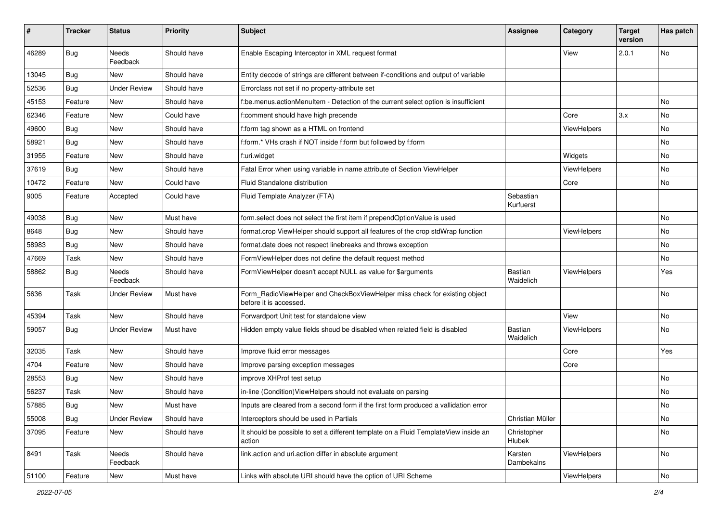| #     | <b>Tracker</b> | <b>Status</b>            | <b>Priority</b> | Subject                                                                                              | Assignee                    | Category           | <b>Target</b><br>version | Has patch |
|-------|----------------|--------------------------|-----------------|------------------------------------------------------------------------------------------------------|-----------------------------|--------------------|--------------------------|-----------|
| 46289 | Bug            | <b>Needs</b><br>Feedback | Should have     | Enable Escaping Interceptor in XML request format                                                    |                             | View               | 2.0.1                    | No        |
| 13045 | Bug            | New                      | Should have     | Entity decode of strings are different between if-conditions and output of variable                  |                             |                    |                          |           |
| 52536 | <b>Bug</b>     | <b>Under Review</b>      | Should have     | Errorclass not set if no property-attribute set                                                      |                             |                    |                          |           |
| 45153 | Feature        | New                      | Should have     | f:be.menus.actionMenuItem - Detection of the current select option is insufficient                   |                             |                    |                          | No        |
| 62346 | Feature        | <b>New</b>               | Could have      | f:comment should have high precende                                                                  |                             | Core               | 3.x                      | No        |
| 49600 | Bug            | New                      | Should have     | f:form tag shown as a HTML on frontend                                                               |                             | <b>ViewHelpers</b> |                          | No        |
| 58921 | Bug            | New                      | Should have     | f:form.* VHs crash if NOT inside f:form but followed by f:form                                       |                             |                    |                          | No        |
| 31955 | Feature        | New                      | Should have     | f:uri.widget                                                                                         |                             | Widgets            |                          | No        |
| 37619 | Bug            | New                      | Should have     | Fatal Error when using variable in name attribute of Section ViewHelper                              |                             | <b>ViewHelpers</b> |                          | No        |
| 10472 | Feature        | New                      | Could have      | Fluid Standalone distribution                                                                        |                             | Core               |                          | No        |
| 9005  | Feature        | Accepted                 | Could have      | Fluid Template Analyzer (FTA)                                                                        | Sebastian<br>Kurfuerst      |                    |                          |           |
| 49038 | Bug            | New                      | Must have       | form.select does not select the first item if prependOptionValue is used                             |                             |                    |                          | No        |
| 8648  | Bug            | New                      | Should have     | format.crop ViewHelper should support all features of the crop stdWrap function                      |                             | <b>ViewHelpers</b> |                          | No        |
| 58983 | <b>Bug</b>     | New                      | Should have     | format.date does not respect linebreaks and throws exception                                         |                             |                    |                          | No        |
| 47669 | Task           | New                      | Should have     | FormViewHelper does not define the default request method                                            |                             |                    |                          | No        |
| 58862 | <b>Bug</b>     | Needs<br>Feedback        | Should have     | FormViewHelper doesn't accept NULL as value for \$arguments                                          | <b>Bastian</b><br>Waidelich | ViewHelpers        |                          | Yes       |
| 5636  | Task           | Under Review             | Must have       | Form_RadioViewHelper and CheckBoxViewHelper miss check for existing object<br>before it is accessed. |                             |                    |                          | No        |
| 45394 | Task           | New                      | Should have     | Forwardport Unit test for standalone view                                                            |                             | View               |                          | No        |
| 59057 | Bug            | <b>Under Review</b>      | Must have       | Hidden empty value fields shoud be disabled when related field is disabled                           | Bastian<br>Waidelich        | ViewHelpers        |                          | No        |
| 32035 | Task           | New                      | Should have     | Improve fluid error messages                                                                         |                             | Core               |                          | Yes       |
| 4704  | Feature        | New                      | Should have     | Improve parsing exception messages                                                                   |                             | Core               |                          |           |
| 28553 | Bug            | New                      | Should have     | improve XHProf test setup                                                                            |                             |                    |                          | No        |
| 56237 | Task           | New                      | Should have     | in-line (Condition) View Helpers should not evaluate on parsing                                      |                             |                    |                          | No        |
| 57885 | Bug            | New                      | Must have       | Inputs are cleared from a second form if the first form produced a vallidation error                 |                             |                    |                          | No        |
| 55008 | <b>Bug</b>     | <b>Under Review</b>      | Should have     | Interceptors should be used in Partials                                                              | Christian Müller            |                    |                          | No        |
| 37095 | Feature        | New                      | Should have     | It should be possible to set a different template on a Fluid TemplateView inside an<br>action        | Christopher<br>Hlubek       |                    |                          | No        |
| 8491  | Task           | Needs<br>Feedback        | Should have     | link.action and uri.action differ in absolute argument                                               | Karsten<br>Dambekalns       | <b>ViewHelpers</b> |                          | No        |
| 51100 | Feature        | New                      | Must have       | Links with absolute URI should have the option of URI Scheme                                         |                             | ViewHelpers        |                          | No        |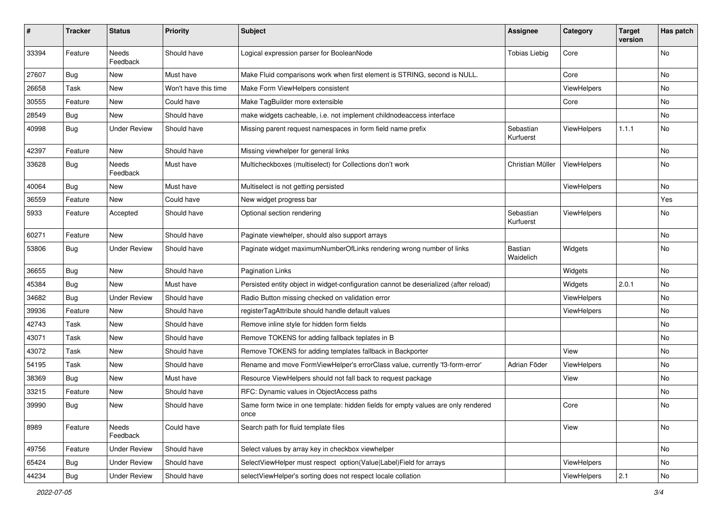| $\#$  | <b>Tracker</b> | <b>Status</b>       | <b>Priority</b>      | <b>Subject</b>                                                                            | <b>Assignee</b>             | Category           | <b>Target</b><br>version | Has patch |
|-------|----------------|---------------------|----------------------|-------------------------------------------------------------------------------------------|-----------------------------|--------------------|--------------------------|-----------|
| 33394 | Feature        | Needs<br>Feedback   | Should have          | Logical expression parser for BooleanNode                                                 | <b>Tobias Liebig</b>        | Core               |                          | <b>No</b> |
| 27607 | Bug            | New                 | Must have            | Make Fluid comparisons work when first element is STRING, second is NULL.                 |                             | Core               |                          | No        |
| 26658 | Task           | New                 | Won't have this time | Make Form ViewHelpers consistent                                                          |                             | ViewHelpers        |                          | No        |
| 30555 | Feature        | New                 | Could have           | Make TagBuilder more extensible                                                           |                             | Core               |                          | No        |
| 28549 | Bug            | New                 | Should have          | make widgets cacheable, i.e. not implement childnodeaccess interface                      |                             |                    |                          | No        |
| 40998 | Bug            | <b>Under Review</b> | Should have          | Missing parent request namespaces in form field name prefix                               | Sebastian<br>Kurfuerst      | ViewHelpers        | 1.1.1                    | No        |
| 42397 | Feature        | New                 | Should have          | Missing viewhelper for general links                                                      |                             |                    |                          | No        |
| 33628 | Bug            | Needs<br>Feedback   | Must have            | Multicheckboxes (multiselect) for Collections don't work                                  | Christian Müller            | ViewHelpers        |                          | No        |
| 40064 | Bug            | New                 | Must have            | Multiselect is not getting persisted                                                      |                             | ViewHelpers        |                          | <b>No</b> |
| 36559 | Feature        | New                 | Could have           | New widget progress bar                                                                   |                             |                    |                          | Yes       |
| 5933  | Feature        | Accepted            | Should have          | Optional section rendering                                                                | Sebastian<br>Kurfuerst      | ViewHelpers        |                          | No        |
| 60271 | Feature        | <b>New</b>          | Should have          | Paginate viewhelper, should also support arrays                                           |                             |                    |                          | No        |
| 53806 | Bug            | <b>Under Review</b> | Should have          | Paginate widget maximumNumberOfLinks rendering wrong number of links                      | <b>Bastian</b><br>Waidelich | Widgets            |                          | No        |
| 36655 | Bug            | New                 | Should have          | <b>Pagination Links</b>                                                                   |                             | Widgets            |                          | No        |
| 45384 | Bug            | New                 | Must have            | Persisted entity object in widget-configuration cannot be deserialized (after reload)     |                             | Widgets            | 2.0.1                    | No        |
| 34682 | Bug            | <b>Under Review</b> | Should have          | Radio Button missing checked on validation error                                          |                             | <b>ViewHelpers</b> |                          | No        |
| 39936 | Feature        | New                 | Should have          | registerTagAttribute should handle default values                                         |                             | ViewHelpers        |                          | <b>No</b> |
| 42743 | Task           | New                 | Should have          | Remove inline style for hidden form fields                                                |                             |                    |                          | No        |
| 43071 | Task           | New                 | Should have          | Remove TOKENS for adding fallback teplates in B                                           |                             |                    |                          | No        |
| 43072 | Task           | New                 | Should have          | Remove TOKENS for adding templates fallback in Backporter                                 |                             | View               |                          | No        |
| 54195 | Task           | New                 | Should have          | Rename and move FormViewHelper's errorClass value, currently 'f3-form-error'              | Adrian Föder                | <b>ViewHelpers</b> |                          | No        |
| 38369 | Bug            | New                 | Must have            | Resource ViewHelpers should not fall back to request package                              |                             | View               |                          | No        |
| 33215 | Feature        | New                 | Should have          | RFC: Dynamic values in ObjectAccess paths                                                 |                             |                    |                          | No        |
| 39990 | Bug            | New                 | Should have          | Same form twice in one template: hidden fields for empty values are only rendered<br>once |                             | Core               |                          | No        |
| 8989  | Feature        | Needs<br>Feedback   | Could have           | Search path for fluid template files                                                      |                             | View               |                          | No        |
| 49756 | Feature        | <b>Under Review</b> | Should have          | Select values by array key in checkbox viewhelper                                         |                             |                    |                          | No        |
| 65424 | <b>Bug</b>     | <b>Under Review</b> | Should have          | SelectViewHelper must respect option(Value Label)Field for arrays                         |                             | ViewHelpers        |                          | No        |
| 44234 | <b>Bug</b>     | <b>Under Review</b> | Should have          | selectViewHelper's sorting does not respect locale collation                              |                             | ViewHelpers        | 2.1                      | No        |